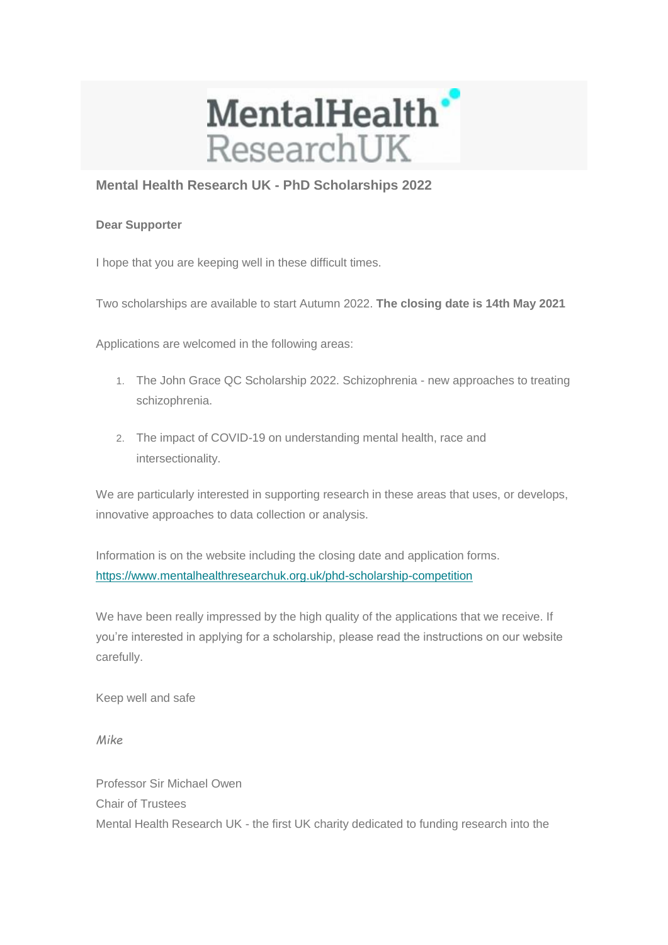

## **Mental Health Research UK - PhD Scholarships 2022**

## **Dear Supporter**

I hope that you are keeping well in these difficult times.

Two scholarships are available to start Autumn 2022. **The closing date is 14th May 2021**

Applications are welcomed in the following areas:

- 1. The John Grace QC Scholarship 2022. Schizophrenia new approaches to treating schizophrenia.
- 2. The impact of COVID-19 on understanding mental health, race and intersectionality.

We are particularly interested in supporting research in these areas that uses, or develops, innovative approaches to data collection or analysis.

Information is on the website including the closing date and application forms. [https://www.mentalhealthresearchuk.org.uk/phd-scholarship-competition](https://mhruk.us3.list-manage.com/track/click?u=9f597992504bbc9467a09e2ad&id=1acb386869&e=653c95db77)

We have been really impressed by the high quality of the applications that we receive. If you're interested in applying for a scholarship, please read the instructions on our website carefully.

Keep well and safe

*Mike*

Professor Sir Michael Owen Chair of Trustees Mental Health Research UK - the first UK charity dedicated to funding research into the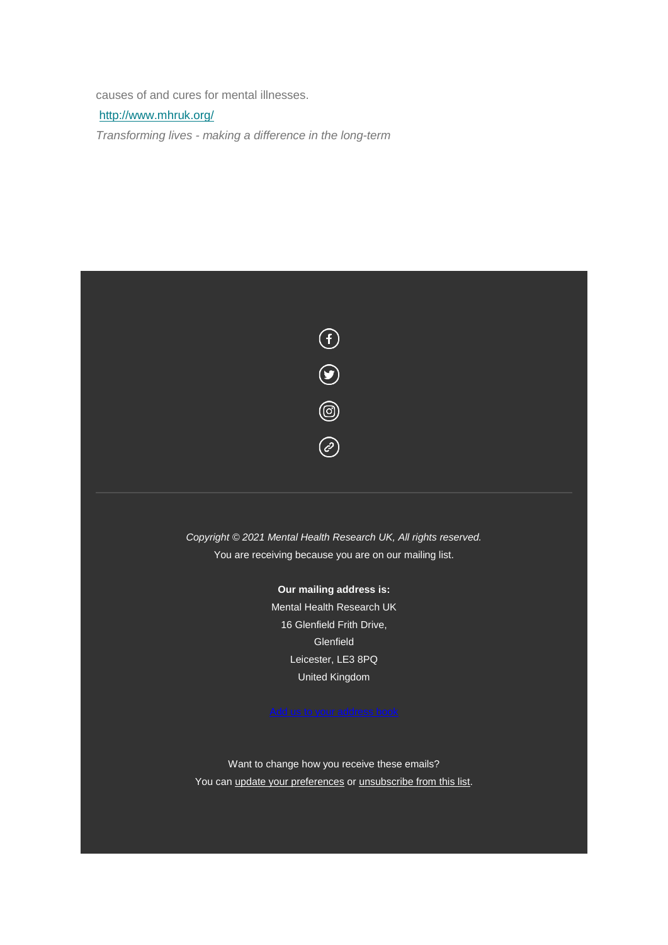causes of and cures for mental illnesses.

[http://www.mhruk.org/](https://mhruk.us3.list-manage.com/track/click?u=9f597992504bbc9467a09e2ad&id=9cdf2f9939&e=653c95db77) 

*Transforming lives - making a difference in the long-term*